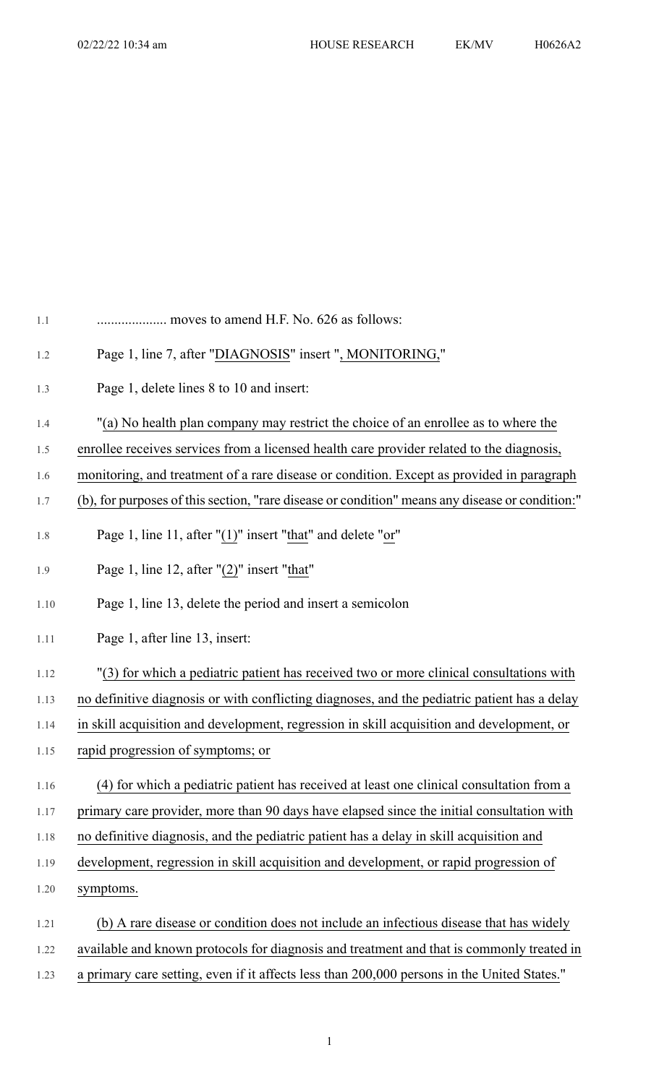| 1.1  | moves to amend H.F. No. 626 as follows:                                                         |
|------|-------------------------------------------------------------------------------------------------|
| 1.2  | Page 1, line 7, after "DIAGNOSIS" insert ", MONITORING,"                                        |
| 1.3  | Page 1, delete lines 8 to 10 and insert:                                                        |
| 1.4  | "(a) No health plan company may restrict the choice of an enrollee as to where the              |
| 1.5  | enrollee receives services from a licensed health care provider related to the diagnosis,       |
| 1.6  | monitoring, and treatment of a rare disease or condition. Except as provided in paragraph       |
| 1.7  | (b), for purposes of this section, "rare disease or condition" means any disease or condition:" |
| 1.8  | Page 1, line 11, after " $(1)$ " insert "that" and delete " $or$ "                              |
| 1.9  | Page 1, line 12, after $"(2)"$ insert "that"                                                    |
| 1.10 | Page 1, line 13, delete the period and insert a semicolon                                       |
| 1.11 | Page 1, after line 13, insert:                                                                  |
| 1.12 | "(3) for which a pediatric patient has received two or more clinical consultations with         |
| 1.13 | no definitive diagnosis or with conflicting diagnoses, and the pediatric patient has a delay    |
| 1.14 | in skill acquisition and development, regression in skill acquisition and development, or       |
| 1.15 | rapid progression of symptoms; or                                                               |
| 1.16 | (4) for which a pediatric patient has received at least one clinical consultation from a        |
| 1.17 | primary care provider, more than 90 days have elapsed since the initial consultation with       |
| 1.18 | no definitive diagnosis, and the pediatric patient has a delay in skill acquisition and         |
| 1.19 | development, regression in skill acquisition and development, or rapid progression of           |
| 1.20 | symptoms.                                                                                       |
| 1.21 | (b) A rare disease or condition does not include an infectious disease that has widely          |
| 1.22 | available and known protocols for diagnosis and treatment and that is commonly treated in       |
| 1.23 | a primary care setting, even if it affects less than 200,000 persons in the United States."     |